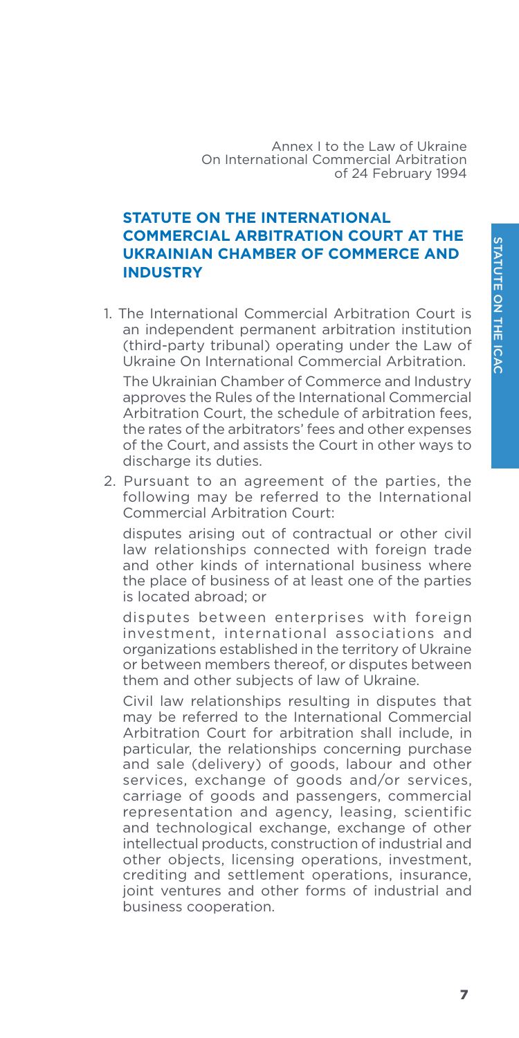Annex I to the Law of Ukraine On International Commercial Arbitration of 24 February 1994

## **STATUTE ON THE INTERNATIONAL COMMERCIAL ARBITRATION COURT AT THE UKRAINIAN CHAMBER OF COMMERCE AND INDUSTRY**

1. The International Commercial Arbitration Court is an independent permanent arbitration institution (third-party tribunal) operating under the Law of Ukraine On International Commercial Arbitration.

The Ukrainian Chamber of Commerce and Industry approves the Rules of the International Commercial Arbitration Court, the schedule of arbitration fees, the rates of the arbitrators' fees and other expenses of the Court, and assists the Court in other ways to discharge its duties.

2. Pursuant to an agreement of the parties, the following may be referred to the International Commercial Arbitration Court:

disputes arising out of contractual or other civil law relationships connected with foreign trade and other kinds of international business where the place of business of at least one of the parties is located abroad; or

disputes between enterprises with foreign investment, international associations and organizations established in the territory of Ukraine or between members thereof, or disputes between them and other subjects of law of Ukraine.

Civil law relationships resulting in disputes that may be referred to the International Commercial Arbitration Court for arbitration shall include, in particular, the relationships concerning purchase and sale (delivery) of goods, labour and other services, exchange of goods and/or services, carriage of goods and passengers, commercial representation and agency, leasing, scientific and technological exchange, exchange of other intellectual products, construction of industrial and other objects, licensing operations, investment, crediting and settlement operations, insurance, joint ventures and other forms of industrial and business cooperation.